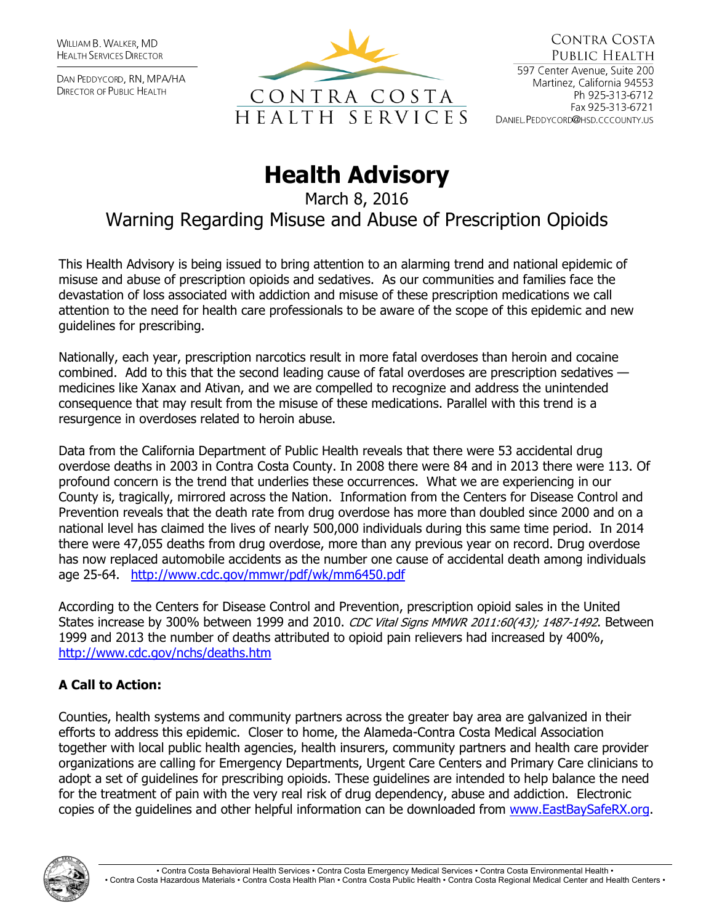WILLIAM B. WALKER, MD **HEALTH SERVICES DIRECTOR** 

DAN PEDDYCORD, RN, MPA/HA **DIRECTOR OF PUBLIC HEALTH** 



## **Health Advisory**

March 8, 2016 Warning Regarding Misuse and Abuse of Prescription Opioids

This Health Advisory is being issued to bring attention to an alarming trend and national epidemic of misuse and abuse of prescription opioids and sedatives. As our communities and families face the devastation of loss associated with addiction and misuse of these prescription medications we call attention to the need for health care professionals to be aware of the scope of this epidemic and new guidelines for prescribing.

Nationally, each year, prescription narcotics result in more fatal overdoses than heroin and cocaine combined. Add to this that the second leading cause of fatal overdoses are prescription sedatives medicines like Xanax and Ativan, and we are compelled to recognize and address the unintended consequence that may result from the misuse of these medications. Parallel with this trend is a resurgence in overdoses related to heroin abuse.

Data from the California Department of Public Health reveals that there were 53 accidental drug overdose deaths in 2003 in Contra Costa County. In 2008 there were 84 and in 2013 there were 113. Of profound concern is the trend that underlies these occurrences. What we are experiencing in our County is, tragically, mirrored across the Nation. Information from the Centers for Disease Control and Prevention reveals that the death rate from drug overdose has more than doubled since 2000 and on a national level has claimed the lives of nearly 500,000 individuals during this same time period. In 2014 there were 47,055 deaths from drug overdose, more than any previous year on record. Drug overdose has now replaced automobile accidents as the number one cause of accidental death among individuals age 25-64. <http://www.cdc.gov/mmwr/pdf/wk/mm6450.pdf>

According to the Centers for Disease Control and Prevention, prescription opioid sales in the United States increase by 300% between 1999 and 2010. CDC Vital Signs MMWR 2011:60(43); 1487-1492. Between 1999 and 2013 the number of deaths attributed to opioid pain relievers had increased by 400%, <http://www.cdc.gov/nchs/deaths.htm>

## **A Call to Action:**

Counties, health systems and community partners across the greater bay area are galvanized in their efforts to address this epidemic. Closer to home, the Alameda-Contra Costa Medical Association together with local public health agencies, health insurers, community partners and health care provider organizations are calling for Emergency Departments, Urgent Care Centers and Primary Care clinicians to adopt a set of guidelines for prescribing opioids. These guidelines are intended to help balance the need for the treatment of pain with the very real risk of drug dependency, abuse and addiction. Electronic copies of the guidelines and other helpful information can be downloaded from [www.EastBaySafeRX.org.](http://www.eastbaysaferx.org/)